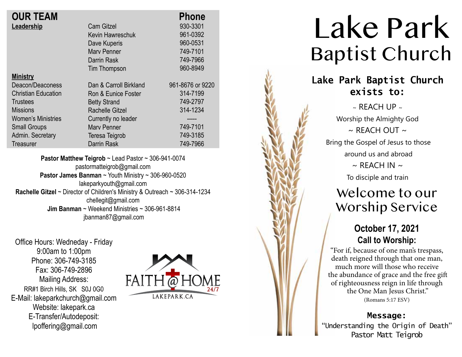| <b>OUR TEAM</b>            |                        | <b>Phone</b>     |
|----------------------------|------------------------|------------------|
| Leadership                 | <b>Cam Gitzel</b>      | 930-3301         |
|                            | Kevin Hawreschuk       | 961-0392         |
|                            | Dave Kuperis           | 960-0531         |
|                            | <b>Mary Penner</b>     | 749-7101         |
|                            | Darrin Rask            | 749-7966         |
|                            | Tim Thompson           | 960-8949         |
| <b>Ministry</b>            |                        |                  |
| Deacon/Deaconess           | Dan & Carroll Birkland | 961-8676 or 9220 |
| <b>Christian Education</b> | Ron & Eunice Foster    | 314-7199         |
| Trustees                   | <b>Betty Strand</b>    | 749-2797         |
| <b>Missions</b>            | <b>Rachelle Gitzel</b> | 314-1234         |
| <b>Women's Ministries</b>  | Currently no leader    |                  |
| <b>Small Groups</b>        | <b>Mary Penner</b>     | 749-7101         |
| Admin. Secretary           | Teresa Teigrob         | 749-3185         |
| <b>Treasurer</b>           | Darrin Rask            | 749-7966         |

**Pastor Matthew Teigrob** ~ Lead Pastor ~ 306-941-0074 pastormatteigrob@gmail.com **Pastor James Banman** ~ Youth Ministry ~ 306-960-0520 lakeparkyouth@gmail.com **Rachelle Gitzel** ~ Director of Children's Ministry & Outreach ~ 306-314-1234 chellegit@gmail.com  **Jim Banman** ~ Weekend Ministries ~ 306-961-8814 jbanman87@gmail.com

Office Hours: Wedneday - Friday 9:00am to 1:00pm Phone: 306-749-3185 Fax: 306-749-2896 Mailing Address: RR#1 Birch Hills, SK S0J 0G0 E-Mail: lakeparkchurch@gmail.com Website: lakepark.ca E-Transfer/Autodeposit: lpoffering@gmail.com



# Lake Park Baptist Church

## **Lake Park Baptist Church exists to:**

 $\sim$  REACH UP  $\sim$ Worship the Almighty God  $\sim$  RFACH OUT  $\sim$ Bring the Gospel of Jesus to those around us and abroad  $\sim$  REACH IN  $\sim$ To disciple and train

# Welcome to our Worship Service

## **October 17, 2021 Call to Worship:**

"For if, because of one man's trespass, death reigned through that one man, much more will those who receive the abundance of grace and the free gift of righteousness reign in life through the One Man Jesus Christ." (Romans 5:17 ESV)

#### **Message:**

"Understanding the Origin of Death" Pastor Matt Teigrob